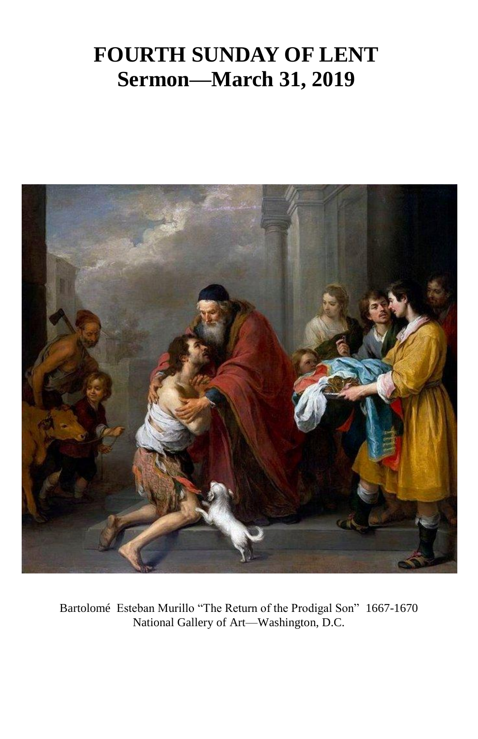## **FOURTH SUNDAY OF LENT Sermon—March 31, 2019**



Bartolomé Esteban Murillo "The Return of the Prodigal Son" 1667-1670 National Gallery of Art—Washington, D.C.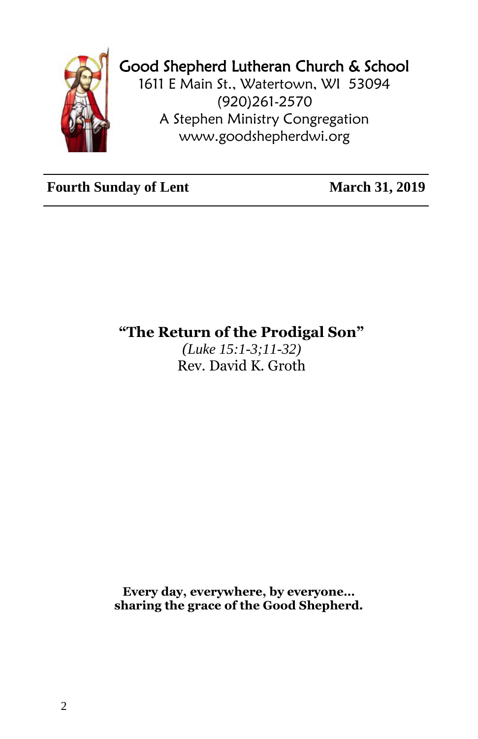

## Good Shepherd Lutheran Church & School

1611 E Main St., Watertown, WI 53094 (920)261-2570 A Stephen Ministry Congregation [www.goodshepherdwi.org](http://www.goodshepherdwi.org/)

**Fourth Sunday of Lent** March 31, 2019

**"The Return of the Prodigal Son"**

*(Luke 15:1-3;11-32)* Rev. David K. Groth

**Every day, everywhere, by everyone… sharing the grace of the Good Shepherd.**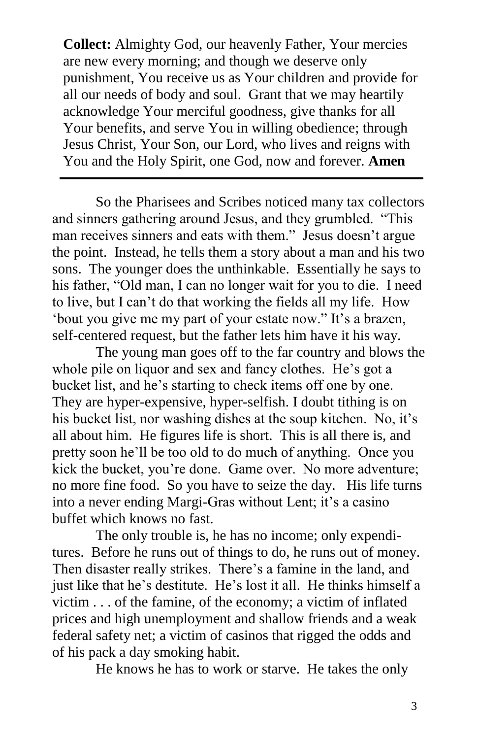**Collect:** Almighty God, our heavenly Father, Your mercies are new every morning; and though we deserve only punishment, You receive us as Your children and provide for all our needs of body and soul. Grant that we may heartily acknowledge Your merciful goodness, give thanks for all Your benefits, and serve You in willing obedience; through Jesus Christ, Your Son, our Lord, who lives and reigns with You and the Holy Spirit, one God, now and forever. **Amen**

So the Pharisees and Scribes noticed many tax collectors and sinners gathering around Jesus, and they grumbled. "This man receives sinners and eats with them." Jesus doesn't argue the point. Instead, he tells them a story about a man and his two sons. The younger does the unthinkable. Essentially he says to his father, "Old man, I can no longer wait for you to die. I need to live, but I can't do that working the fields all my life. How 'bout you give me my part of your estate now." It's a brazen, self-centered request, but the father lets him have it his way.

The young man goes off to the far country and blows the whole pile on liquor and sex and fancy clothes. He's got a bucket list, and he's starting to check items off one by one. They are hyper-expensive, hyper-selfish. I doubt tithing is on his bucket list, nor washing dishes at the soup kitchen. No, it's all about him. He figures life is short. This is all there is, and pretty soon he'll be too old to do much of anything. Once you kick the bucket, you're done. Game over. No more adventure; no more fine food. So you have to seize the day. His life turns into a never ending Margi-Gras without Lent; it's a casino buffet which knows no fast.

The only trouble is, he has no income; only expenditures. Before he runs out of things to do, he runs out of money. Then disaster really strikes. There's a famine in the land, and just like that he's destitute. He's lost it all. He thinks himself a victim . . . of the famine, of the economy; a victim of inflated prices and high unemployment and shallow friends and a weak federal safety net; a victim of casinos that rigged the odds and of his pack a day smoking habit.

He knows he has to work or starve. He takes the only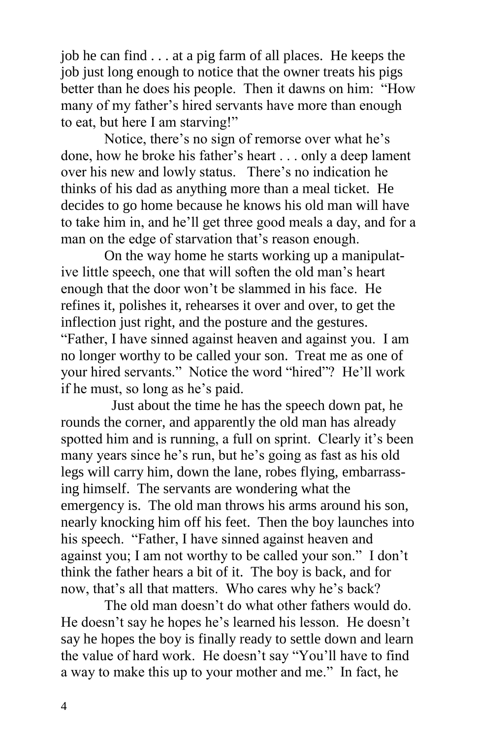job he can find . . . at a pig farm of all places. He keeps the job just long enough to notice that the owner treats his pigs better than he does his people. Then it dawns on him: "How many of my father's hired servants have more than enough to eat, but here I am starving!"

Notice, there's no sign of remorse over what he's done, how he broke his father's heart . . . only a deep lament over his new and lowly status. There's no indication he thinks of his dad as anything more than a meal ticket. He decides to go home because he knows his old man will have to take him in, and he'll get three good meals a day, and for a man on the edge of starvation that's reason enough.

On the way home he starts working up a manipulative little speech, one that will soften the old man's heart enough that the door won't be slammed in his face. He refines it, polishes it, rehearses it over and over, to get the inflection just right, and the posture and the gestures. "Father, I have sinned against heaven and against you. I am no longer worthy to be called your son. Treat me as one of your hired servants." Notice the word "hired"? He'll work if he must, so long as he's paid.

 Just about the time he has the speech down pat, he rounds the corner, and apparently the old man has already spotted him and is running, a full on sprint. Clearly it's been many years since he's run, but he's going as fast as his old legs will carry him, down the lane, robes flying, embarrassing himself. The servants are wondering what the emergency is. The old man throws his arms around his son, nearly knocking him off his feet. Then the boy launches into his speech. "Father, I have sinned against heaven and against you; I am not worthy to be called your son." I don't think the father hears a bit of it. The boy is back, and for now, that's all that matters. Who cares why he's back?

The old man doesn't do what other fathers would do. He doesn't say he hopes he's learned his lesson. He doesn't say he hopes the boy is finally ready to settle down and learn the value of hard work. He doesn't say "You'll have to find a way to make this up to your mother and me." In fact, he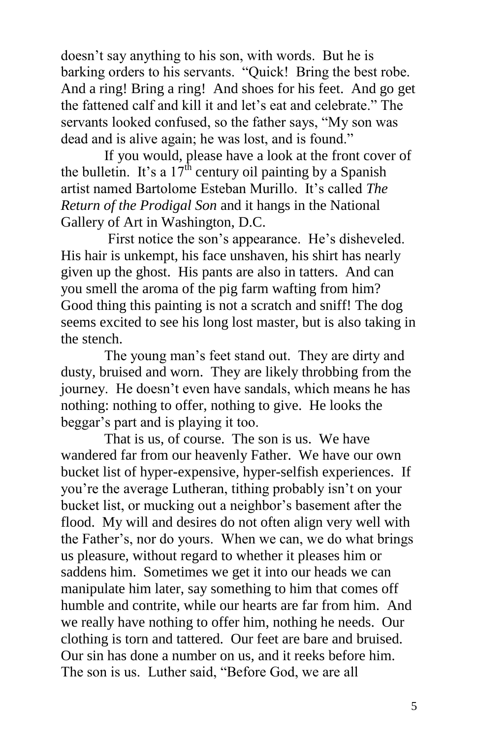doesn't say anything to his son, with words. But he is barking orders to his servants. "Quick! Bring the best robe. And a ring! Bring a ring! And shoes for his feet. And go get the fattened calf and kill it and let's eat and celebrate." The servants looked confused, so the father says, "My son was dead and is alive again; he was lost, and is found."

If you would, please have a look at the front cover of the bulletin. It's a  $17^{\text{th}}$  century oil painting by a Spanish artist named Bartolome Esteban Murillo. It's called *The Return of the Prodigal Son* and it hangs in the National Gallery of Art in Washington, D.C.

First notice the son's appearance. He's disheveled. His hair is unkempt, his face unshaven, his shirt has nearly given up the ghost. His pants are also in tatters. And can you smell the aroma of the pig farm wafting from him? Good thing this painting is not a scratch and sniff! The dog seems excited to see his long lost master, but is also taking in the stench.

The young man's feet stand out. They are dirty and dusty, bruised and worn. They are likely throbbing from the journey. He doesn't even have sandals, which means he has nothing: nothing to offer, nothing to give. He looks the beggar's part and is playing it too.

That is us, of course. The son is us. We have wandered far from our heavenly Father. We have our own bucket list of hyper-expensive, hyper-selfish experiences. If you're the average Lutheran, tithing probably isn't on your bucket list, or mucking out a neighbor's basement after the flood. My will and desires do not often align very well with the Father's, nor do yours. When we can, we do what brings us pleasure, without regard to whether it pleases him or saddens him. Sometimes we get it into our heads we can manipulate him later, say something to him that comes off humble and contrite, while our hearts are far from him. And we really have nothing to offer him, nothing he needs. Our clothing is torn and tattered. Our feet are bare and bruised. Our sin has done a number on us, and it reeks before him. The son is us. Luther said, "Before God, we are all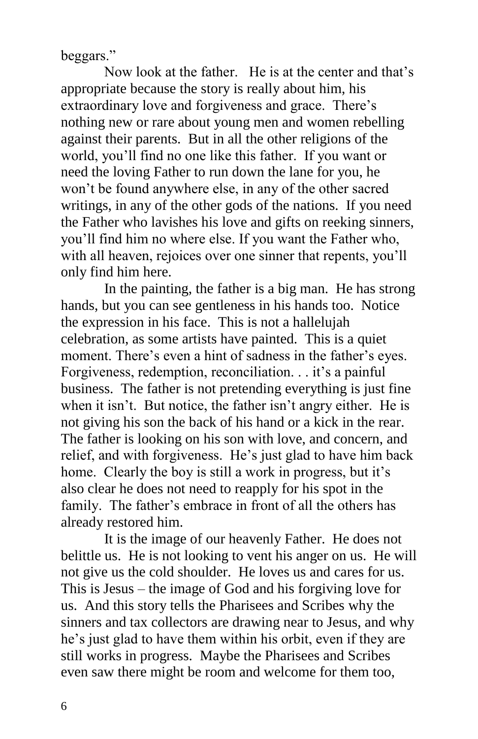beggars."

Now look at the father. He is at the center and that's appropriate because the story is really about him, his extraordinary love and forgiveness and grace. There's nothing new or rare about young men and women rebelling against their parents. But in all the other religions of the world, you'll find no one like this father. If you want or need the loving Father to run down the lane for you, he won't be found anywhere else, in any of the other sacred writings, in any of the other gods of the nations. If you need the Father who lavishes his love and gifts on reeking sinners, you'll find him no where else. If you want the Father who, with all heaven, rejoices over one sinner that repents, you'll only find him here.

In the painting, the father is a big man. He has strong hands, but you can see gentleness in his hands too. Notice the expression in his face. This is not a hallelujah celebration, as some artists have painted. This is a quiet moment. There's even a hint of sadness in the father's eyes. Forgiveness, redemption, reconciliation. . . it's a painful business. The father is not pretending everything is just fine when it isn't. But notice, the father isn't angry either. He is not giving his son the back of his hand or a kick in the rear. The father is looking on his son with love, and concern, and relief, and with forgiveness. He's just glad to have him back home. Clearly the boy is still a work in progress, but it's also clear he does not need to reapply for his spot in the family. The father's embrace in front of all the others has already restored him.

It is the image of our heavenly Father. He does not belittle us. He is not looking to vent his anger on us. He will not give us the cold shoulder. He loves us and cares for us. This is Jesus – the image of God and his forgiving love for us. And this story tells the Pharisees and Scribes why the sinners and tax collectors are drawing near to Jesus, and why he's just glad to have them within his orbit, even if they are still works in progress. Maybe the Pharisees and Scribes even saw there might be room and welcome for them too,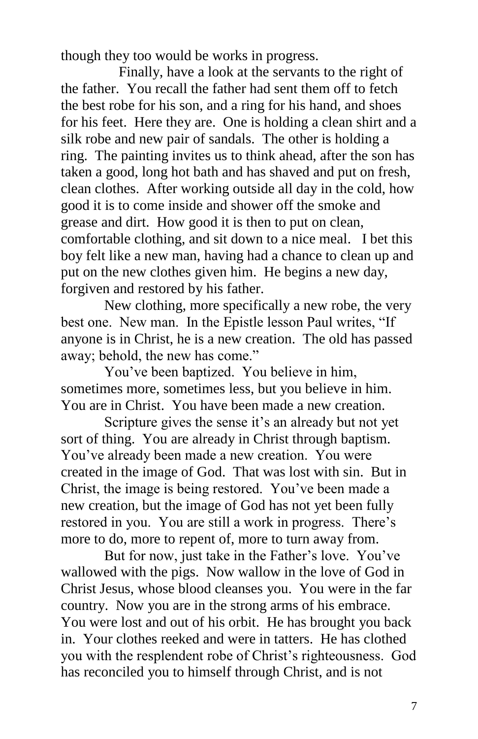though they too would be works in progress.

 Finally, have a look at the servants to the right of the father. You recall the father had sent them off to fetch the best robe for his son, and a ring for his hand, and shoes for his feet. Here they are. One is holding a clean shirt and a silk robe and new pair of sandals. The other is holding a ring. The painting invites us to think ahead, after the son has taken a good, long hot bath and has shaved and put on fresh, clean clothes. After working outside all day in the cold, how good it is to come inside and shower off the smoke and grease and dirt. How good it is then to put on clean, comfortable clothing, and sit down to a nice meal. I bet this boy felt like a new man, having had a chance to clean up and put on the new clothes given him. He begins a new day, forgiven and restored by his father.

New clothing, more specifically a new robe, the very best one. New man. In the Epistle lesson Paul writes, "If anyone is in Christ, he is a new creation. The old has passed away; behold, the new has come."

You've been baptized. You believe in him, sometimes more, sometimes less, but you believe in him. You are in Christ. You have been made a new creation.

Scripture gives the sense it's an already but not yet sort of thing. You are already in Christ through baptism. You've already been made a new creation. You were created in the image of God. That was lost with sin. But in Christ, the image is being restored. You've been made a new creation, but the image of God has not yet been fully restored in you. You are still a work in progress. There's more to do, more to repent of, more to turn away from.

But for now, just take in the Father's love. You've wallowed with the pigs. Now wallow in the love of God in Christ Jesus, whose blood cleanses you. You were in the far country. Now you are in the strong arms of his embrace. You were lost and out of his orbit. He has brought you back in. Your clothes reeked and were in tatters. He has clothed you with the resplendent robe of Christ's righteousness. God has reconciled you to himself through Christ, and is not